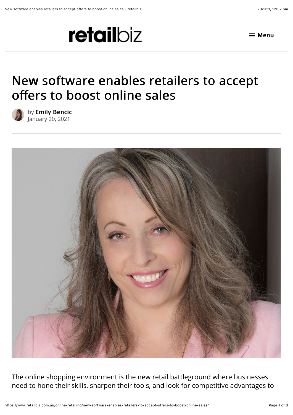



## New software enables retailers to accept offers to boost online sales



by [Emily Bencic](https://www.retailbiz.com.au/author/ebencic/) January 20, 2021



The online shopping environment is the new retail battleground where businesses need to hone their skills, sharpen their tools, and look for competitive advantages to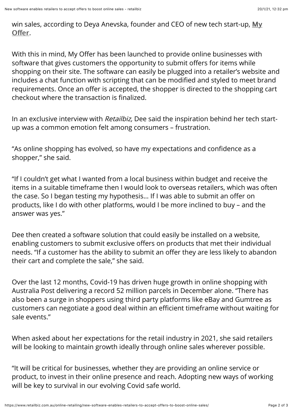[win sales, according to Deya Anevska, founder and CEO of new tech start-up, My](http://myoffer.world/) Offer.

With this in mind, My Offer has been launched to provide online businesses with software that gives customers the opportunity to submit offers for items while shopping on their site. The software can easily be plugged into a retailer's website and includes a chat function with scripting that can be modified and styled to meet brand requirements. Once an offer is accepted, the shopper is directed to the shopping cart checkout where the transaction is finalized.

In an exclusive interview with Retailbiz, Dee said the inspiration behind her tech startup was a common emotion felt among consumers – frustration.

"As online shopping has evolved, so have my expectations and confidence as a shopper," she said.

"If I couldn't get what I wanted from a local business within budget and receive the items in a suitable timeframe then I would look to overseas retailers, which was often the case. So I began testing my hypothesis… If I was able to submit an offer on products, like I do with other platforms, would I be more inclined to buy – and the answer was yes."

Dee then created a software solution that could easily be installed on a website, enabling customers to submit exclusive offers on products that met their individual needs. "If a customer has the ability to submit an offer they are less likely to abandon their cart and complete the sale," she said.

Over the last 12 months, Covid-19 has driven huge growth in online shopping with Australia Post delivering a record 52 million parcels in December alone. "There has also been a surge in shoppers using third party platforms like eBay and Gumtree as customers can negotiate a good deal within an efficient timeframe without waiting for sale events."

When asked about her expectations for the retail industry in 2021, she said retailers will be looking to maintain growth ideally through online sales wherever possible.

"It will be critical for businesses, whether they are providing an online service or product, to invest in their online presence and reach. Adopting new ways of working will be key to survival in our evolving Covid safe world.